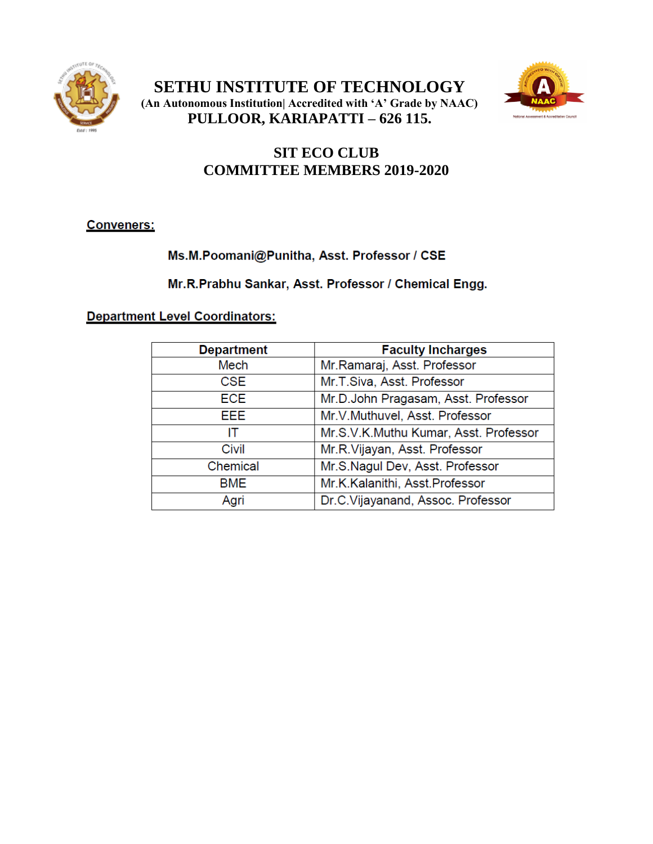

**SETHU INSTITUTE OF TECHNOLOGY (An Autonomous Institution| Accredited with 'A' Grade by NAAC) PULLOOR, KARIAPATTI – 626 115.**



# **SIT ECO CLUB COMMITTEE MEMBERS 2019-2020**

**Conveners:** 

## Ms.M.Poomani@Punitha, Asst. Professor / CSE

Mr.R.Prabhu Sankar, Asst. Professor / Chemical Engg.

### **Department Level Coordinators:**

| <b>Department</b> | <b>Faculty Incharges</b>              |
|-------------------|---------------------------------------|
| <b>Mech</b>       | Mr.Ramaraj, Asst. Professor           |
| <b>CSE</b>        | Mr.T.Siva, Asst. Professor            |
| <b>ECE</b>        | Mr.D.John Pragasam, Asst. Professor   |
| EEE.              | Mr.V.Muthuvel, Asst. Professor        |
| IΤ                | Mr.S.V.K.Muthu Kumar, Asst. Professor |
| Civil             | Mr.R.Vijayan, Asst. Professor         |
| Chemical          | Mr.S.Nagul Dev, Asst. Professor       |
| <b>BME</b>        | Mr.K.Kalanithi, Asst.Professor        |
| Agri              | Dr.C.Vijayanand, Assoc. Professor     |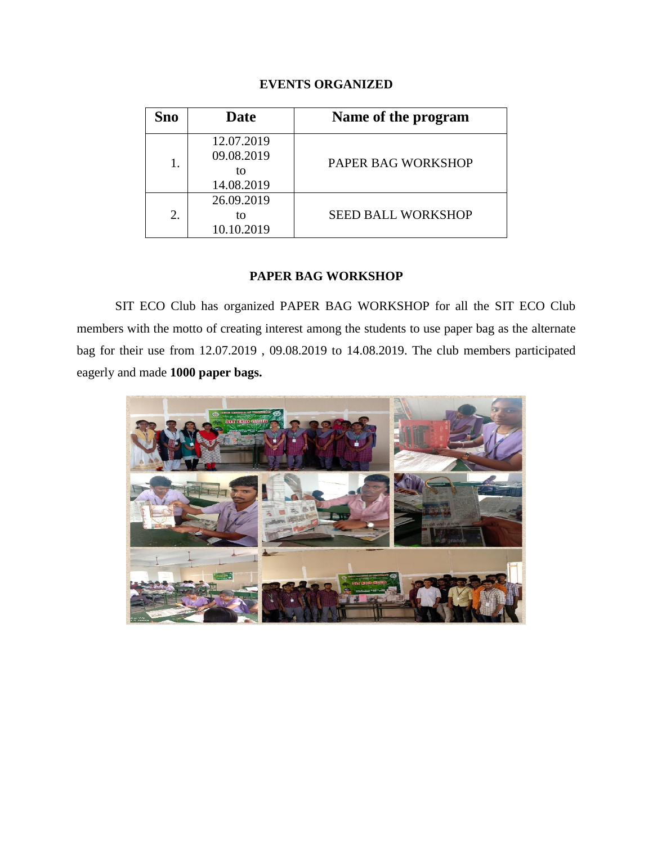#### **EVENTS ORGANIZED**

| Sno | <b>Date</b>                                  | Name of the program       |
|-----|----------------------------------------------|---------------------------|
| 1.  | 12.07.2019<br>09.08.2019<br>tΩ<br>14.08.2019 | PAPER BAG WORKSHOP        |
| 2.  | 26.09.2019<br>to<br>10.10.2019               | <b>SEED BALL WORKSHOP</b> |

#### **PAPER BAG WORKSHOP**

SIT ECO Club has organized PAPER BAG WORKSHOP for all the SIT ECO Club members with the motto of creating interest among the students to use paper bag as the alternate bag for their use from 12.07.2019 , 09.08.2019 to 14.08.2019. The club members participated eagerly and made **1000 paper bags.**